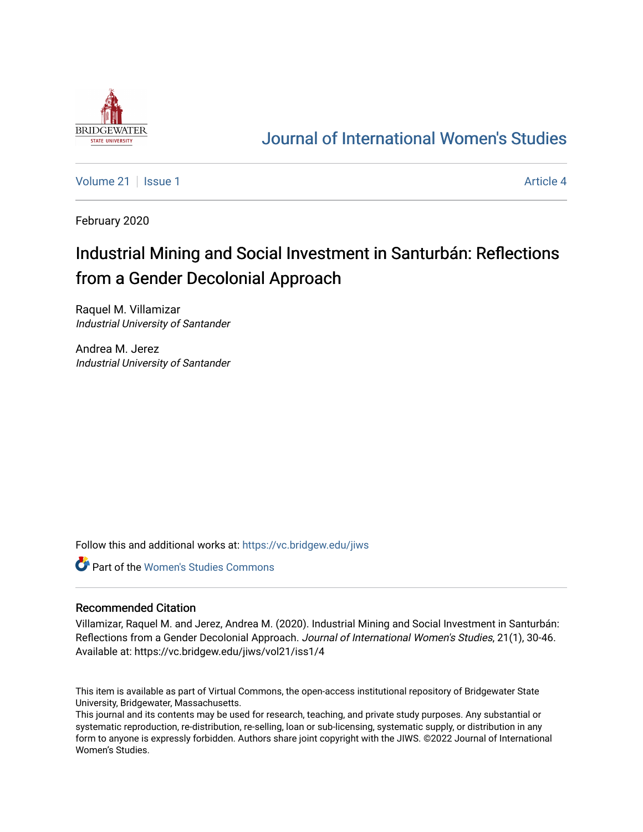

# [Journal of International Women's Studies](https://vc.bridgew.edu/jiws)

[Volume 21](https://vc.bridgew.edu/jiws/vol21) | [Issue 1](https://vc.bridgew.edu/jiws/vol21/iss1) Article 4

February 2020

# Industrial Mining and Social Investment in Santurbán: Reflections from a Gender Decolonial Approach

Raquel M. Villamizar Industrial University of Santander

Andrea M. Jerez Industrial University of Santander

Follow this and additional works at: [https://vc.bridgew.edu/jiws](https://vc.bridgew.edu/jiws?utm_source=vc.bridgew.edu%2Fjiws%2Fvol21%2Fiss1%2F4&utm_medium=PDF&utm_campaign=PDFCoverPages)

Part of the [Women's Studies Commons](http://network.bepress.com/hgg/discipline/561?utm_source=vc.bridgew.edu%2Fjiws%2Fvol21%2Fiss1%2F4&utm_medium=PDF&utm_campaign=PDFCoverPages) 

#### Recommended Citation

Villamizar, Raquel M. and Jerez, Andrea M. (2020). Industrial Mining and Social Investment in Santurbán: Reflections from a Gender Decolonial Approach. Journal of International Women's Studies, 21(1), 30-46. Available at: https://vc.bridgew.edu/jiws/vol21/iss1/4

This item is available as part of Virtual Commons, the open-access institutional repository of Bridgewater State University, Bridgewater, Massachusetts.

This journal and its contents may be used for research, teaching, and private study purposes. Any substantial or systematic reproduction, re-distribution, re-selling, loan or sub-licensing, systematic supply, or distribution in any form to anyone is expressly forbidden. Authors share joint copyright with the JIWS. ©2022 Journal of International Women's Studies.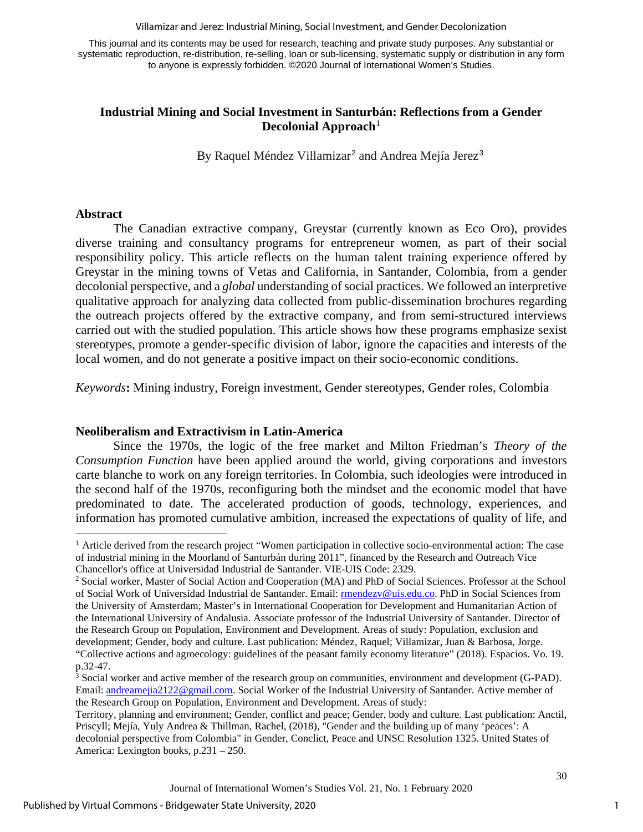Villamizar and Jerez: Industrial Mining, Social Investment, and Gender Decolonization

This journal and its contents may be used for research, teaching and private study purposes. Any substantial or systematic reproduction, re-distribution, re-selling, loan or sub-licensing, systematic supply or distribution in any form to anyone is expressly forbidden. ©2020 Journal of International Women's Studies.

## **Industrial Mining and Social Investment in Santurbán: Reflections from a Gender Decolonial Approach**[1](#page-1-0)

By Raquel Méndez Villamizar<sup>[2](#page-1-1)</sup> and Andrea Mejía Jerez<sup>[3](#page-1-2)</sup>

#### **Abstract**

The Canadian extractive company, Greystar (currently known as Eco Oro), provides diverse training and consultancy programs for entrepreneur women, as part of their social responsibility policy. This article reflects on the human talent training experience offered by Greystar in the mining towns of Vetas and California, in Santander, Colombia, from a gender decolonial perspective, and a *global* understanding of social practices. We followed an interpretive qualitative approach for analyzing data collected from public-dissemination brochures regarding the outreach projects offered by the extractive company, and from semi-structured interviews carried out with the studied population. This article shows how these programs emphasize sexist stereotypes, promote a gender-specific division of labor, ignore the capacities and interests of the local women, and do not generate a positive impact on their socio-economic conditions.

*Keywords***:** Mining industry, Foreign investment, Gender stereotypes, Gender roles, Colombia

#### **Neoliberalism and Extractivism in Latin-America**

Since the 1970s, the logic of the free market and Milton Friedman's *Theory of the Consumption Function* have been applied around the world, giving corporations and investors carte blanche to work on any foreign territories. In Colombia, such ideologies were introduced in the second half of the 1970s, reconfiguring both the mindset and the economic model that have predominated to date. The accelerated production of goods, technology, experiences, and information has promoted cumulative ambition, increased the expectations of quality of life, and

<span id="page-1-0"></span><sup>1</sup> Article derived from the research project "Women participation in collective socio-environmental action: The case of industrial mining in the Moorland of Santurbán during 2011", financed by the Research and Outreach Vice

<span id="page-1-1"></span>Chancellor's office at Universidad Industrial de Santander. VIE-UIS Code: 2329. 2 Social worker, Master of Social Action and Cooperation (MA) and PhD of Social Sciences. Professor at the School of Social Work of Universidad Industrial de Santander. Email[: rmendezv@uis.edu.co.](mailto:rmendezv@uis.edu.co) PhD in Social Sciences from the University of Amsterdam; Master's in International Cooperation for Development and Humanitarian Action of the International University of Andalusia. Associate professor of the Industrial University of Santander. Director of the Research Group on Population, Environment and Development. Areas of study: Population, exclusion and development; Gender, body and culture. Last publication: Méndez, Raquel; Villamizar, Juan & Barbosa, Jorge. "Collective actions and agroecology: guidelines of the peasant family economy literature" (2018). Espacios. Vo. 19.

<span id="page-1-2"></span> $3$  Social worker and active member of the research group on communities, environment and development (G-PAD). Email: [andreamejia2122@gmail.com.](mailto:andreamejia2122@gmail.com) Social Worker of the Industrial University of Santander. Active member of the Research Group on Population, Environment and Development. Areas of study:

Territory, planning and environment; Gender, conflict and peace; Gender, body and culture. Last publication: Anctil, Priscyll; Mejía, Yuly Andrea & Thillman, Rachel, (2018), "Gender and the building up of many 'peaces': A decolonial perspective from Colombia" in Gender, Conclict, Peace and UNSC Resolution 1325. United States of America: Lexington books, p.231 – 250.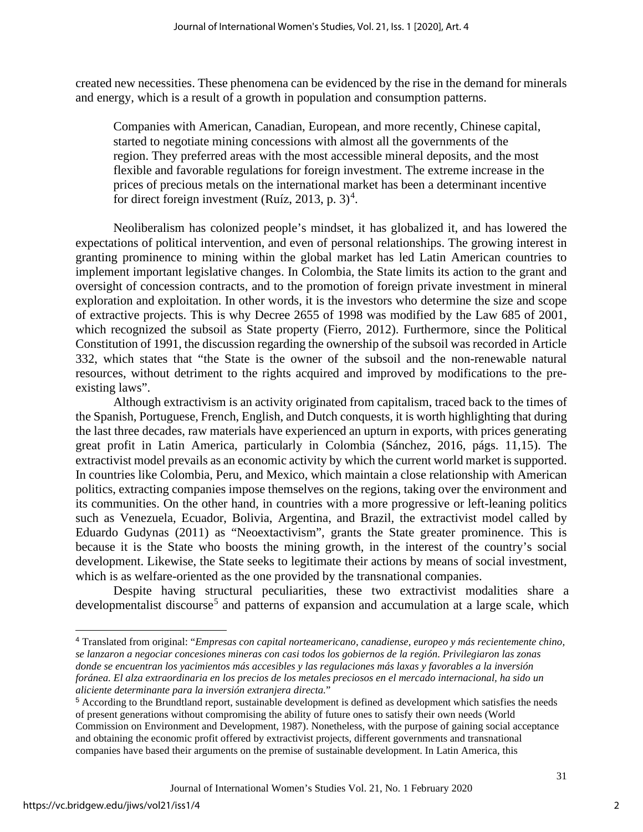created new necessities. These phenomena can be evidenced by the rise in the demand for minerals and energy, which is a result of a growth in population and consumption patterns.

Companies with American, Canadian, European, and more recently, Chinese capital, started to negotiate mining concessions with almost all the governments of the region. They preferred areas with the most accessible mineral deposits, and the most flexible and favorable regulations for foreign investment. The extreme increase in the prices of precious metals on the international market has been a determinant incentive for direct foreign investment (Ruíz, 2013, p.  $3)^4$  $3)^4$ .

Neoliberalism has colonized people's mindset, it has globalized it, and has lowered the expectations of political intervention, and even of personal relationships. The growing interest in granting prominence to mining within the global market has led Latin American countries to implement important legislative changes. In Colombia, the State limits its action to the grant and oversight of concession contracts, and to the promotion of foreign private investment in mineral exploration and exploitation. In other words, it is the investors who determine the size and scope of extractive projects. This is why Decree 2655 of 1998 was modified by the Law 685 of 2001, which recognized the subsoil as State property (Fierro, 2012). Furthermore, since the Political Constitution of 1991, the discussion regarding the ownership of the subsoil was recorded in Article 332, which states that "the State is the owner of the subsoil and the non-renewable natural resources, without detriment to the rights acquired and improved by modifications to the preexisting laws".

Although extractivism is an activity originated from capitalism, traced back to the times of the Spanish, Portuguese, French, English, and Dutch conquests, it is worth highlighting that during the last three decades, raw materials have experienced an upturn in exports, with prices generating great profit in Latin America, particularly in Colombia (Sánchez, 2016, págs. 11,15). The extractivist model prevails as an economic activity by which the current world market is supported. In countries like Colombia, Peru, and Mexico, which maintain a close relationship with American politics, extracting companies impose themselves on the regions, taking over the environment and its communities. On the other hand, in countries with a more progressive or left-leaning politics such as Venezuela, Ecuador, Bolivia, Argentina, and Brazil, the extractivist model called by Eduardo Gudynas (2011) as "Neoextactivism", grants the State greater prominence. This is because it is the State who boosts the mining growth, in the interest of the country's social development. Likewise, the State seeks to legitimate their actions by means of social investment, which is as welfare-oriented as the one provided by the transnational companies.

Despite having structural peculiarities, these two extractivist modalities share a developmentalist discourse<sup>[5](#page-2-1)</sup> and patterns of expansion and accumulation at a large scale, which

<span id="page-2-0"></span><sup>4</sup> Translated from original: "*Empresas con capital norteamericano, canadiense, europeo y más recientemente chino, se lanzaron a negociar concesiones mineras con casi todos los gobiernos de la región. Privilegiaron las zonas donde se encuentran los yacimientos más accesibles y las regulaciones más laxas y favorables a la inversión foránea. El alza extraordinaria en los precios de los metales preciosos en el mercado internacional, ha sido un aliciente determinante para la inversión extranjera directa.*"

<span id="page-2-1"></span><sup>5</sup> According to the Brundtland report, sustainable development is defined as development which satisfies the needs of present generations without compromising the ability of future ones to satisfy their own needs (World Commission on Environment and Development, 1987). Nonetheless, with the purpose of gaining social acceptance and obtaining the economic profit offered by extractivist projects, different governments and transnational companies have based their arguments on the premise of sustainable development. In Latin America, this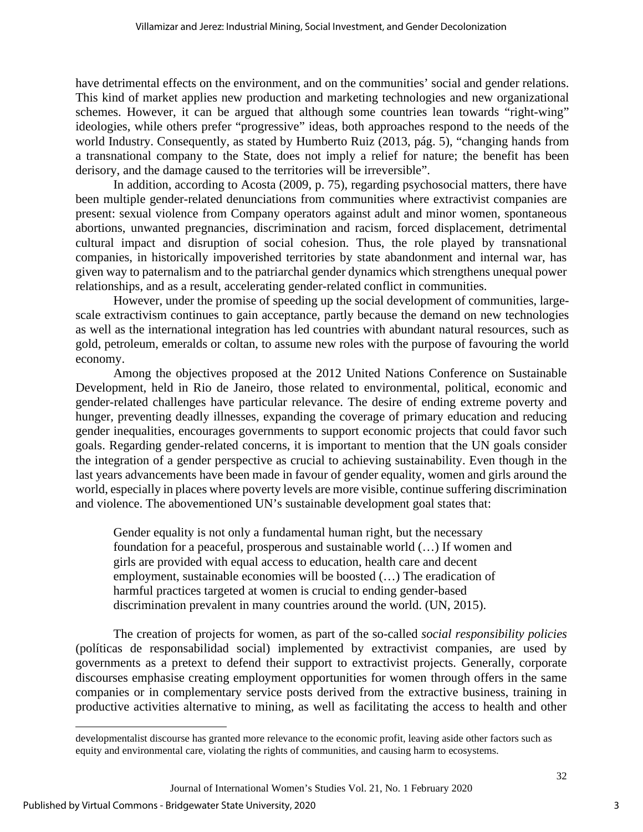have detrimental effects on the environment, and on the communities' social and gender relations. This kind of market applies new production and marketing technologies and new organizational schemes. However, it can be argued that although some countries lean towards "right-wing" ideologies, while others prefer "progressive" ideas, both approaches respond to the needs of the world Industry. Consequently, as stated by Humberto Ruiz (2013, pág. 5), "changing hands from a transnational company to the State, does not imply a relief for nature; the benefit has been derisory, and the damage caused to the territories will be irreversible".

In addition, according to Acosta (2009, p. 75), regarding psychosocial matters, there have been multiple gender-related denunciations from communities where extractivist companies are present: sexual violence from Company operators against adult and minor women, spontaneous abortions, unwanted pregnancies, discrimination and racism, forced displacement, detrimental cultural impact and disruption of social cohesion. Thus, the role played by transnational companies, in historically impoverished territories by state abandonment and internal war, has given way to paternalism and to the patriarchal gender dynamics which strengthens unequal power relationships, and as a result, accelerating gender-related conflict in communities.

However, under the promise of speeding up the social development of communities, largescale extractivism continues to gain acceptance, partly because the demand on new technologies as well as the international integration has led countries with abundant natural resources, such as gold, petroleum, emeralds or coltan, to assume new roles with the purpose of favouring the world economy.

Among the objectives proposed at the 2012 United Nations Conference on Sustainable Development, held in Rio de Janeiro, those related to environmental, political, economic and gender-related challenges have particular relevance. The desire of ending extreme poverty and hunger, preventing deadly illnesses, expanding the coverage of primary education and reducing gender inequalities, encourages governments to support economic projects that could favor such goals. Regarding gender-related concerns, it is important to mention that the UN goals consider the integration of a gender perspective as crucial to achieving sustainability. Even though in the last years advancements have been made in favour of gender equality, women and girls around the world, especially in places where poverty levels are more visible, continue suffering discrimination and violence. The abovementioned UN's sustainable development goal states that:

Gender equality is not only a fundamental human right, but the necessary foundation for a peaceful, prosperous and sustainable world (…) If women and girls are provided with equal access to education, health care and decent employment, sustainable economies will be boosted (…) The eradication of harmful practices targeted at women is crucial to ending gender-based discrimination prevalent in many countries around the world. (UN, 2015).

The creation of projects for women, as part of the so-called *social responsibility policies* (políticas de responsabilidad social) implemented by extractivist companies, are used by governments as a pretext to defend their support to extractivist projects. Generally, corporate discourses emphasise creating employment opportunities for women through offers in the same companies or in complementary service posts derived from the extractive business, training in productive activities alternative to mining, as well as facilitating the access to health and other

developmentalist discourse has granted more relevance to the economic profit, leaving aside other factors such as equity and environmental care, violating the rights of communities, and causing harm to ecosystems.

Journal of International Women's Studies Vol. 21, No. 1 February 2020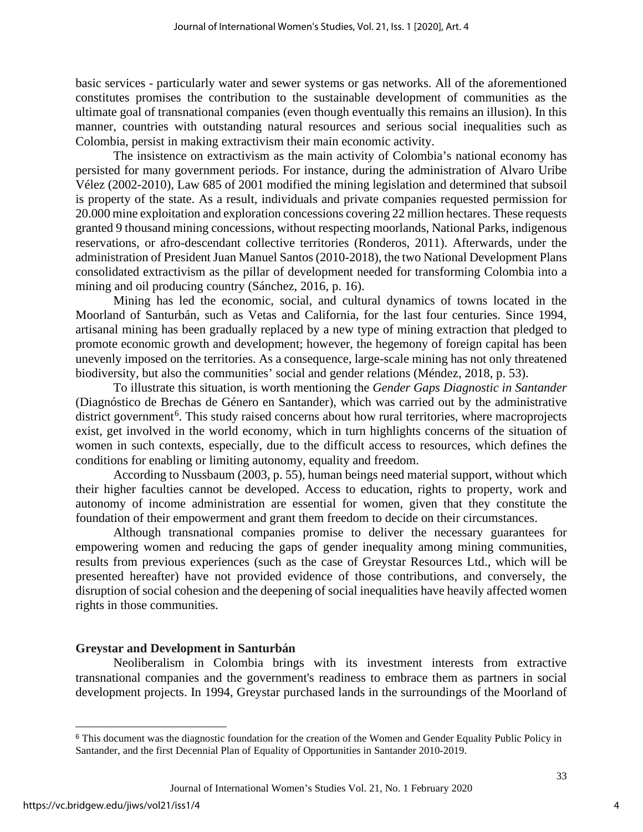basic services - particularly water and sewer systems or gas networks. All of the aforementioned constitutes promises the contribution to the sustainable development of communities as the ultimate goal of transnational companies (even though eventually this remains an illusion). In this manner, countries with outstanding natural resources and serious social inequalities such as Colombia, persist in making extractivism their main economic activity.

The insistence on extractivism as the main activity of Colombia's national economy has persisted for many government periods. For instance, during the administration of Alvaro Uribe Vélez (2002-2010), Law 685 of 2001 modified the mining legislation and determined that subsoil is property of the state. As a result, individuals and private companies requested permission for 20.000 mine exploitation and exploration concessions covering 22 million hectares. These requests granted 9 thousand mining concessions, without respecting moorlands, National Parks, indigenous reservations, or afro-descendant collective territories (Ronderos, 2011). Afterwards, under the administration of President Juan Manuel Santos (2010-2018), the two National Development Plans consolidated extractivism as the pillar of development needed for transforming Colombia into a mining and oil producing country (Sánchez, 2016, p. 16).

Mining has led the economic, social, and cultural dynamics of towns located in the Moorland of Santurbán, such as Vetas and California, for the last four centuries. Since 1994, artisanal mining has been gradually replaced by a new type of mining extraction that pledged to promote economic growth and development; however, the hegemony of foreign capital has been unevenly imposed on the territories. As a consequence, large-scale mining has not only threatened biodiversity, but also the communities' social and gender relations (Méndez, 2018, p. 53).

To illustrate this situation, is worth mentioning the *Gender Gaps Diagnostic in Santander* (Diagnóstico de Brechas de Género en Santander), which was carried out by the administrative district government<sup>[6](#page-4-0)</sup>. This study raised concerns about how rural territories, where macroprojects exist, get involved in the world economy, which in turn highlights concerns of the situation of women in such contexts, especially, due to the difficult access to resources, which defines the conditions for enabling or limiting autonomy, equality and freedom.

According to Nussbaum (2003, p. 55), human beings need material support, without which their higher faculties cannot be developed. Access to education, rights to property, work and autonomy of income administration are essential for women, given that they constitute the foundation of their empowerment and grant them freedom to decide on their circumstances.

Although transnational companies promise to deliver the necessary guarantees for empowering women and reducing the gaps of gender inequality among mining communities, results from previous experiences (such as the case of Greystar Resources Ltd., which will be presented hereafter) have not provided evidence of those contributions, and conversely, the disruption of social cohesion and the deepening of social inequalities have heavily affected women rights in those communities.

#### **Greystar and Development in Santurbán**

Neoliberalism in Colombia brings with its investment interests from extractive transnational companies and the government's readiness to embrace them as partners in social development projects. In 1994, Greystar purchased lands in the surroundings of the Moorland of

<span id="page-4-0"></span><sup>&</sup>lt;sup>6</sup> This document was the diagnostic foundation for the creation of the Women and Gender Equality Public Policy in Santander, and the first Decennial Plan of Equality of Opportunities in Santander 2010-2019.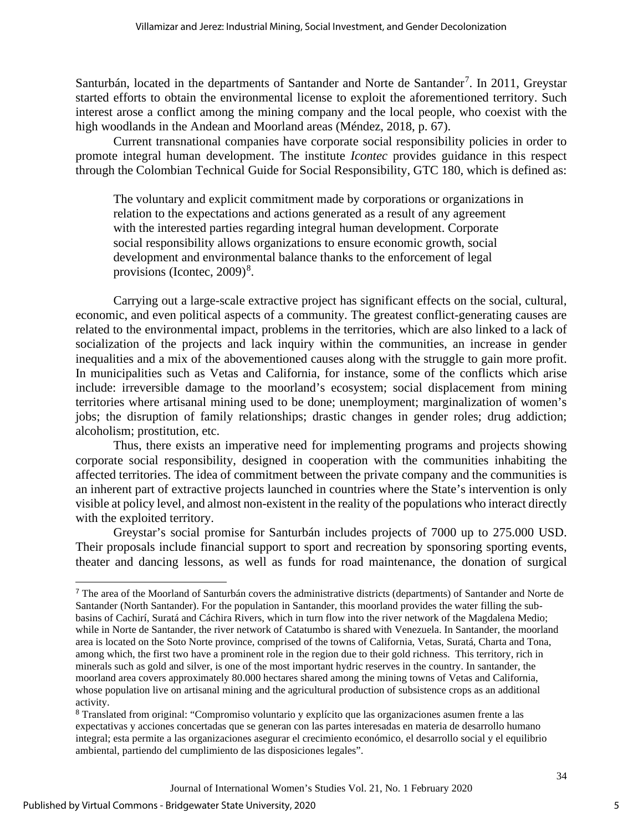Santurbán, located in the departments of Santander and Norte de Santander<sup>[7](#page-5-0)</sup>. In 2011, Greystar started efforts to obtain the environmental license to exploit the aforementioned territory. Such interest arose a conflict among the mining company and the local people, who coexist with the high woodlands in the Andean and Moorland areas (Méndez, 2018, p. 67).

Current transnational companies have corporate social responsibility policies in order to promote integral human development. The institute *Icontec* provides guidance in this respect through the Colombian Technical Guide for Social Responsibility, GTC 180, which is defined as:

The voluntary and explicit commitment made by corporations or organizations in relation to the expectations and actions generated as a result of any agreement with the interested parties regarding integral human development. Corporate social responsibility allows organizations to ensure economic growth, social development and environmental balance thanks to the enforcement of legal provisions (Icontec,  $2009)^8$  $2009)^8$ .

Carrying out a large-scale extractive project has significant effects on the social, cultural, economic, and even political aspects of a community. The greatest conflict-generating causes are related to the environmental impact, problems in the territories, which are also linked to a lack of socialization of the projects and lack inquiry within the communities, an increase in gender inequalities and a mix of the abovementioned causes along with the struggle to gain more profit. In municipalities such as Vetas and California, for instance, some of the conflicts which arise include: irreversible damage to the moorland's ecosystem; social displacement from mining territories where artisanal mining used to be done; unemployment; marginalization of women's jobs; the disruption of family relationships; drastic changes in gender roles; drug addiction; alcoholism; prostitution, etc.

Thus, there exists an imperative need for implementing programs and projects showing corporate social responsibility, designed in cooperation with the communities inhabiting the affected territories. The idea of commitment between the private company and the communities is an inherent part of extractive projects launched in countries where the State's intervention is only visible at policy level, and almost non-existent in the reality of the populations who interact directly with the exploited territory.

Greystar's social promise for Santurbán includes projects of 7000 up to 275.000 USD. Their proposals include financial support to sport and recreation by sponsoring sporting events, theater and dancing lessons, as well as funds for road maintenance, the donation of surgical

<span id="page-5-0"></span><sup>7</sup> The area of the Moorland of Santurbán covers the administrative districts (departments) of Santander and Norte de Santander (North Santander). For the population in Santander, this moorland provides the water filling the subbasins of Cachirí, Suratá and Cáchira Rivers, which in turn flow into the river network of the Magdalena Medio; while in Norte de Santander, the river network of Catatumbo is shared with Venezuela. In Santander, the moorland area is located on the Soto Norte province, comprised of the towns of California, Vetas, Suratá, Charta and Tona, among which, the first two have a prominent role in the region due to their gold richness. This territory, rich in minerals such as gold and silver, is one of the most important hydric reserves in the country. In santander, the moorland area covers approximately 80.000 hectares shared among the mining towns of Vetas and California, whose population live on artisanal mining and the agricultural production of subsistence crops as an additional activity.

<span id="page-5-1"></span><sup>8</sup> Translated from original: "Compromiso voluntario y explícito que las organizaciones asumen frente a las expectativas y acciones concertadas que se generan con las partes interesadas en materia de desarrollo humano integral; esta permite a las organizaciones asegurar el crecimiento económico, el desarrollo social y el equilibrio ambiental, partiendo del cumplimiento de las disposiciones legales".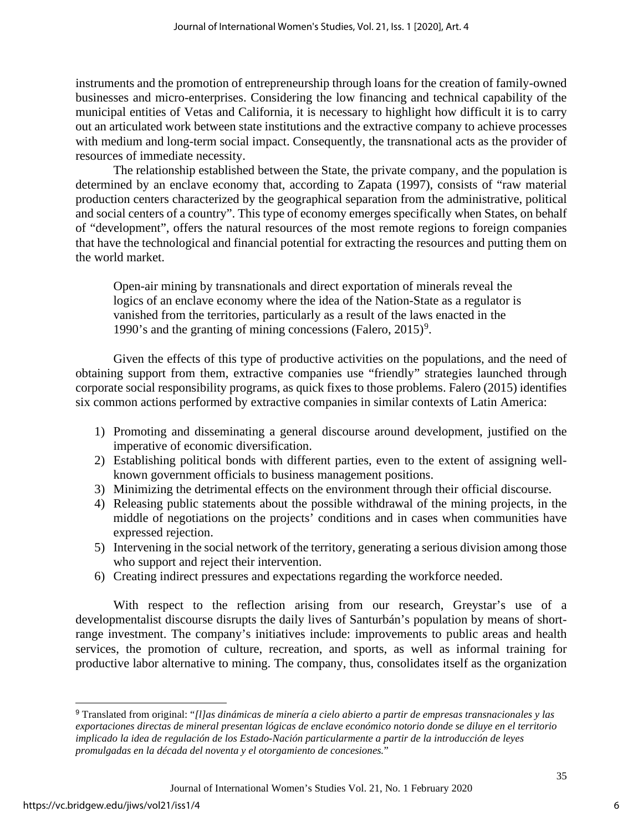instruments and the promotion of entrepreneurship through loans for the creation of family-owned businesses and micro-enterprises. Considering the low financing and technical capability of the municipal entities of Vetas and California, it is necessary to highlight how difficult it is to carry out an articulated work between state institutions and the extractive company to achieve processes with medium and long-term social impact. Consequently, the transnational acts as the provider of resources of immediate necessity.

The relationship established between the State, the private company, and the population is determined by an enclave economy that, according to Zapata (1997), consists of "raw material production centers characterized by the geographical separation from the administrative, political and social centers of a country". This type of economy emerges specifically when States, on behalf of "development", offers the natural resources of the most remote regions to foreign companies that have the technological and financial potential for extracting the resources and putting them on the world market.

Open-air mining by transnationals and direct exportation of minerals reveal the logics of an enclave economy where the idea of the Nation-State as a regulator is vanished from the territories, particularly as a result of the laws enacted in the 1[9](#page-6-0)90's and the granting of mining concessions (Falero,  $2015$ )<sup>9</sup>.

Given the effects of this type of productive activities on the populations, and the need of obtaining support from them, extractive companies use "friendly" strategies launched through corporate social responsibility programs, as quick fixes to those problems. Falero (2015) identifies six common actions performed by extractive companies in similar contexts of Latin America:

- 1) Promoting and disseminating a general discourse around development, justified on the imperative of economic diversification.
- 2) Establishing political bonds with different parties, even to the extent of assigning wellknown government officials to business management positions.
- 3) Minimizing the detrimental effects on the environment through their official discourse.
- 4) Releasing public statements about the possible withdrawal of the mining projects, in the middle of negotiations on the projects' conditions and in cases when communities have expressed rejection.
- 5) Intervening in the social network of the territory, generating a serious division among those who support and reject their intervention.
- 6) Creating indirect pressures and expectations regarding the workforce needed.

With respect to the reflection arising from our research, Greystar's use of a developmentalist discourse disrupts the daily lives of Santurbán's population by means of shortrange investment. The company's initiatives include: improvements to public areas and health services, the promotion of culture, recreation, and sports, as well as informal training for productive labor alternative to mining. The company, thus, consolidates itself as the organization

6

<span id="page-6-0"></span><sup>9</sup> Translated from original: "*[l]as dinámicas de minería a cielo abierto a partir de empresas transnacionales y las exportaciones directas de mineral presentan lógicas de enclave económico notorio donde se diluye en el territorio implicado la idea de regulación de los Estado-Nación particularmente a partir de la introducción de leyes promulgadas en la década del noventa y el otorgamiento de concesiones.*"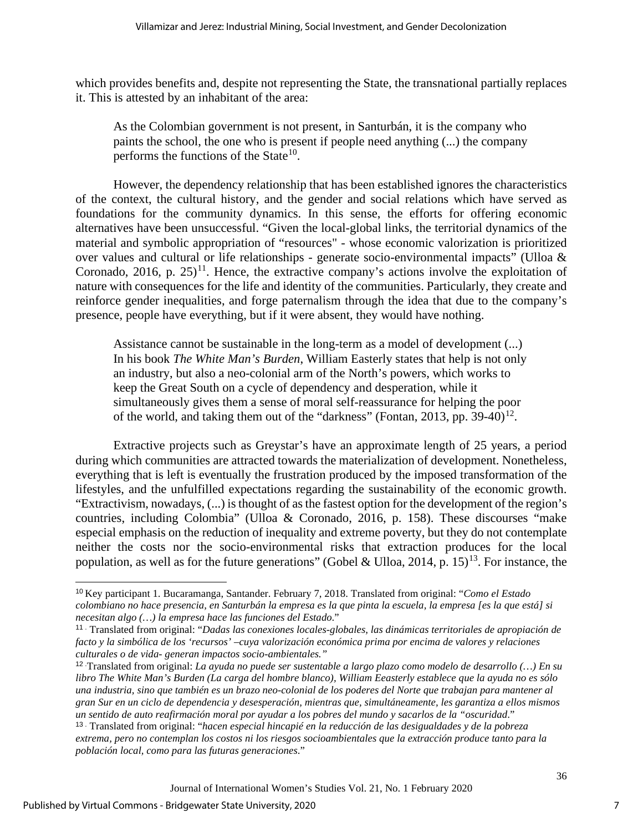which provides benefits and, despite not representing the State, the transnational partially replaces it. This is attested by an inhabitant of the area:

As the Colombian government is not present, in Santurbán, it is the company who paints the school, the one who is present if people need anything (...) the company performs the functions of the State<sup>10</sup>.

However, the dependency relationship that has been established ignores the characteristics of the context, the cultural history, and the gender and social relations which have served as foundations for the community dynamics. In this sense, the efforts for offering economic alternatives have been unsuccessful. "Given the local-global links, the territorial dynamics of the material and symbolic appropriation of "resources" - whose economic valorization is prioritized over values and cultural or life relationships - generate socio-environmental impacts" (Ulloa & Coronado, 2016, p. 25)<sup>[11](#page-7-1)</sup>. Hence, the extractive company's actions involve the exploitation of nature with consequences for the life and identity of the communities. Particularly, they create and reinforce gender inequalities, and forge paternalism through the idea that due to the company's presence, people have everything, but if it were absent, they would have nothing.

Assistance cannot be sustainable in the long-term as a model of development (...) In his book *The White Man's Burden*, William Easterly states that help is not only an industry, but also a neo-colonial arm of the North's powers, which works to keep the Great South on a cycle of dependency and desperation, while it simultaneously gives them a sense of moral self-reassurance for helping the poor of the world, and taking them out of the "darkness" (Fontan, 2013, pp. 39-40)<sup>12</sup>.

Extractive projects such as Greystar's have an approximate length of 25 years, a period during which communities are attracted towards the materialization of development. Nonetheless, everything that is left is eventually the frustration produced by the imposed transformation of the lifestyles, and the unfulfilled expectations regarding the sustainability of the economic growth. "Extractivism, nowadays, (...) is thought of as the fastest option for the development of the region's countries, including Colombia" (Ulloa & Coronado, 2016, p. 158). These discourses "make especial emphasis on the reduction of inequality and extreme poverty, but they do not contemplate neither the costs nor the socio-environmental risks that extraction produces for the local population, as well as for the future generations" (Gobel & Ulloa, 2014, p. 15)<sup>[13](#page-7-3)</sup>. For instance, the

7

<span id="page-7-0"></span><sup>10</sup> Key participant 1. Bucaramanga, Santander. February 7, 2018. Translated from original: "*Como el Estado colombiano no hace presencia, en Santurbán la empresa es la que pinta la escuela, la empresa [es la que está] si necesitan algo (…) la empresa hace las funciones del Estado*."

<span id="page-7-1"></span><sup>11 .</sup> Translated from original: "*Dadas las conexiones locales-globales, las dinámicas territoriales de apropiación de facto y la simbólica de los 'recursos' –cuya valorización económica prima por encima de valores y relaciones culturales o de vida- generan impactos socio-ambientales."*

<span id="page-7-2"></span><sup>12 .</sup>Translated from original: *La ayuda no puede ser sustentable a largo plazo como modelo de desarrollo (…) En su libro The White Man's Burden (La carga del hombre blanco), William Eeasterly establece que la ayuda no es sólo una industria, sino que también es un brazo neo-colonial de los poderes del Norte que trabajan para mantener al gran Sur en un ciclo de dependencia y desesperación, mientras que, simultáneamente, les garantiza a ellos mismos un sentido de auto reafirmación moral por ayudar a los pobres del mundo y sacarlos de la "oscuridad*."

<span id="page-7-3"></span><sup>13 .</sup> Translated from original: "*hacen especial hincapié en la reducción de las desigualdades y de la pobreza extrema, pero no contemplan los costos ni los riesgos socioambientales que la extracción produce tanto para la población local, como para las futuras generaciones*."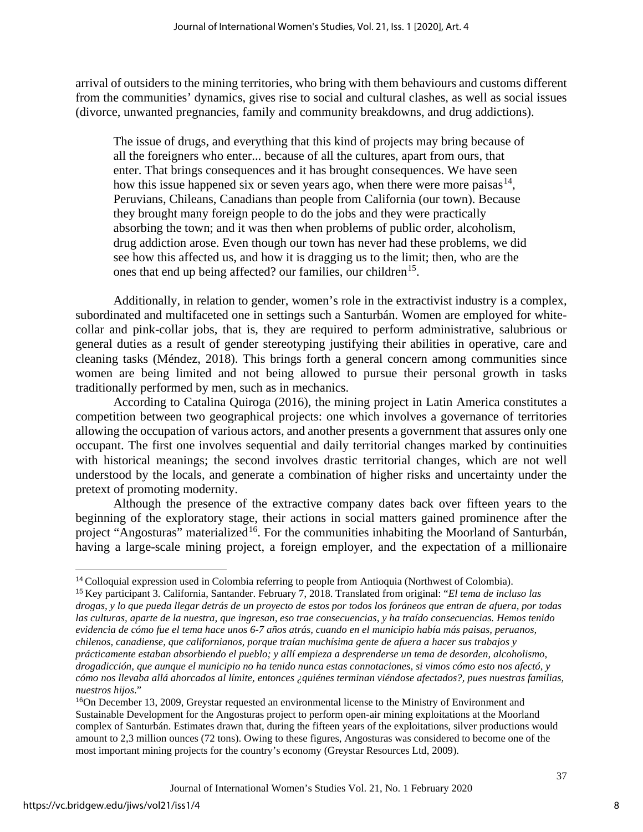arrival of outsiders to the mining territories, who bring with them behaviours and customs different from the communities' dynamics, gives rise to social and cultural clashes, as well as social issues (divorce, unwanted pregnancies, family and community breakdowns, and drug addictions).

The issue of drugs, and everything that this kind of projects may bring because of all the foreigners who enter... because of all the cultures, apart from ours, that enter. That brings consequences and it has brought consequences. We have seen how this issue happened six or seven years ago, when there were more paisas  $14$ , Peruvians, Chileans, Canadians than people from California (our town). Because they brought many foreign people to do the jobs and they were practically absorbing the town; and it was then when problems of public order, alcoholism, drug addiction arose. Even though our town has never had these problems, we did see how this affected us, and how it is dragging us to the limit; then, who are the ones that end up being affected? our families, our children<sup>15</sup>.

Additionally, in relation to gender, women's role in the extractivist industry is a complex, subordinated and multifaceted one in settings such a Santurbán. Women are employed for whitecollar and pink-collar jobs, that is, they are required to perform administrative, salubrious or general duties as a result of gender stereotyping justifying their abilities in operative, care and cleaning tasks (Méndez, 2018). This brings forth a general concern among communities since women are being limited and not being allowed to pursue their personal growth in tasks traditionally performed by men, such as in mechanics.

According to Catalina Quiroga (2016), the mining project in Latin America constitutes a competition between two geographical projects: one which involves a governance of territories allowing the occupation of various actors, and another presents a government that assures only one occupant. The first one involves sequential and daily territorial changes marked by continuities with historical meanings; the second involves drastic territorial changes, which are not well understood by the locals, and generate a combination of higher risks and uncertainty under the pretext of promoting modernity.

Although the presence of the extractive company dates back over fifteen years to the beginning of the exploratory stage, their actions in social matters gained prominence after the project "Angosturas" materialized<sup>[16](#page-8-2)</sup>. For the communities inhabiting the Moorland of Santurbán, having a large-scale mining project, a foreign employer, and the expectation of a millionaire

8

<span id="page-8-0"></span><sup>14</sup> Colloquial expression used in Colombia referring to people from Antioquia (Northwest of Colombia).

<span id="page-8-1"></span><sup>15</sup> Key participant 3. California, Santander. February 7, 2018. Translated from original: "*El tema de incluso las drogas, y lo que pueda llegar detrás de un proyecto de estos por todos los foráneos que entran de afuera, por todas las culturas, aparte de la nuestra, que ingresan, eso trae consecuencias, y ha traído consecuencias. Hemos tenido evidencia de cómo fue el tema hace unos 6-7 años atrás, cuando en el municipio había más paisas, peruanos, chilenos, canadiense, que californianos, porque traían muchísima gente de afuera a hacer sus trabajos y prácticamente estaban absorbiendo el pueblo; y allí empieza a desprenderse un tema de desorden, alcoholismo, drogadicción, que aunque el municipio no ha tenido nunca estas connotaciones, si vimos cómo esto nos afectó, y cómo nos llevaba allá ahorcados al límite, entonces ¿quiénes terminan viéndose afectados?, pues nuestras familias, nuestros hijos*."

<span id="page-8-2"></span><sup>16</sup>On December 13, 2009, Greystar requested an environmental license to the Ministry of Environment and Sustainable Development for the Angosturas project to perform open-air mining exploitations at the Moorland complex of Santurbán. Estimates drawn that, during the fifteen years of the exploitations, silver productions would amount to 2,3 million ounces (72 tons). Owing to these figures, Angosturas was considered to become one of the most important mining projects for the country's economy (Greystar Resources Ltd, 2009).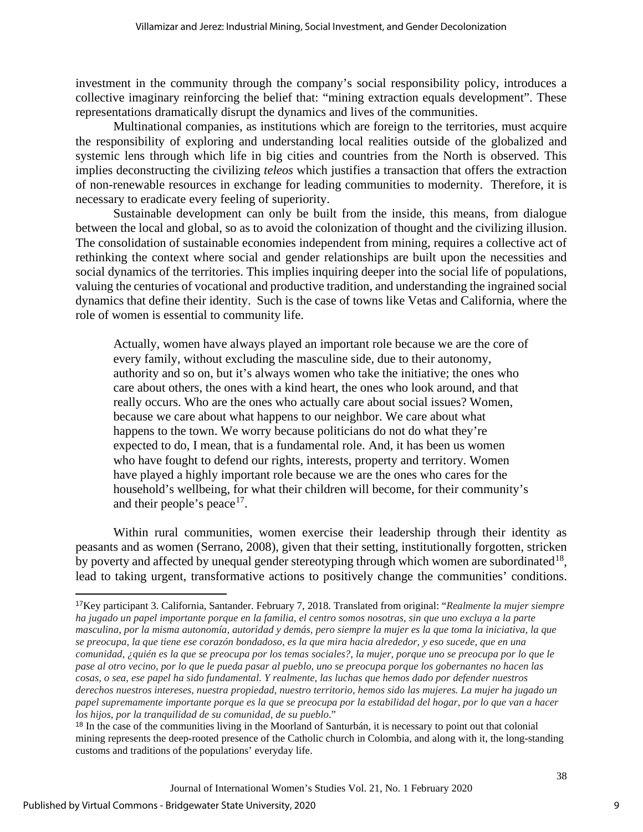investment in the community through the company's social responsibility policy, introduces a collective imaginary reinforcing the belief that: "mining extraction equals development". These representations dramatically disrupt the dynamics and lives of the communities.

Multinational companies, as institutions which are foreign to the territories, must acquire the responsibility of exploring and understanding local realities outside of the globalized and systemic lens through which life in big cities and countries from the North is observed. This implies deconstructing the civilizing *teleos* which justifies a transaction that offers the extraction of non-renewable resources in exchange for leading communities to modernity. Therefore, it is necessary to eradicate every feeling of superiority.

Sustainable development can only be built from the inside, this means, from dialogue between the local and global, so as to avoid the colonization of thought and the civilizing illusion. The consolidation of sustainable economies independent from mining, requires a collective act of rethinking the context where social and gender relationships are built upon the necessities and social dynamics of the territories. This implies inquiring deeper into the social life of populations, valuing the centuries of vocational and productive tradition, and understanding the ingrained social dynamics that define their identity. Such is the case of towns like Vetas and California, where the role of women is essential to community life.

Actually, women have always played an important role because we are the core of every family, without excluding the masculine side, due to their autonomy, authority and so on, but it's always women who take the initiative; the ones who care about others, the ones with a kind heart, the ones who look around, and that really occurs. Who are the ones who actually care about social issues? Women, because we care about what happens to our neighbor. We care about what happens to the town. We worry because politicians do not do what they're expected to do, I mean, that is a fundamental role. And, it has been us women who have fought to defend our rights, interests, property and territory. Women have played a highly important role because we are the ones who cares for the household's wellbeing, for what their children will become, for their community's and their people's peace<sup>17</sup>.

Within rural communities, women exercise their leadership through their identity as peasants and as women (Serrano, 2008), given that their setting, institutionally forgotten, stricken by poverty and affected by unequal gender stereotyping through which women are subordinated<sup>[18](#page-9-1)</sup>, lead to taking urgent, transformative actions to positively change the communities' conditions.

<span id="page-9-0"></span><sup>17</sup>Key participant 3. California, Santander. February 7, 2018. Translated from original: "*Realmente la mujer siempre ha jugado un papel importante porque en la familia, el centro somos nosotras, sin que uno excluya a la parte masculina, por la misma autonomía, autoridad y demás, pero siempre la mujer es la que toma la iniciativa, la que se preocupa, la que tiene ese corazón bondadoso, es la que mira hacia alrededor, y eso sucede, que en una comunidad, ¿quién es la que se preocupa por los temas sociales?, la mujer, porque uno se preocupa por lo que le pase al otro vecino, por lo que le pueda pasar al pueblo, uno se preocupa porque los gobernantes no hacen las cosas, o sea, ese papel ha sido fundamental. Y realmente, las luchas que hemos dado por defender nuestros derechos nuestros intereses, nuestra propiedad, nuestro territorio, hemos sido las mujeres. La mujer ha jugado un papel supremamente importante porque es la que se preocupa por la estabilidad del hogar, por lo que van a hacer los hijos, por la tranquilidad de su comunidad, de su pueblo*."

<span id="page-9-1"></span><sup>&</sup>lt;sup>18</sup> In the case of the communities living in the Moorland of Santurbán, it is necessary to point out that colonial mining represents the deep-rooted presence of the Catholic church in Colombia, and along with it, the long-standing customs and traditions of the populations' everyday life.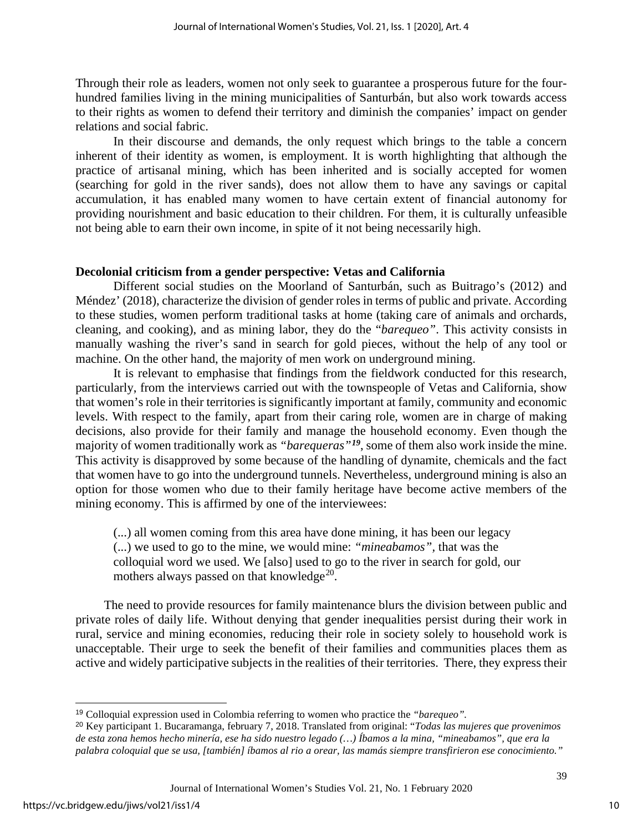Through their role as leaders, women not only seek to guarantee a prosperous future for the fourhundred families living in the mining municipalities of Santurbán, but also work towards access to their rights as women to defend their territory and diminish the companies' impact on gender relations and social fabric.

In their discourse and demands, the only request which brings to the table a concern inherent of their identity as women, is employment. It is worth highlighting that although the practice of artisanal mining, which has been inherited and is socially accepted for women (searching for gold in the river sands), does not allow them to have any savings or capital accumulation, it has enabled many women to have certain extent of financial autonomy for providing nourishment and basic education to their children. For them, it is culturally unfeasible not being able to earn their own income, in spite of it not being necessarily high.

#### **Decolonial criticism from a gender perspective: Vetas and California**

Different social studies on the Moorland of Santurbán, such as Buitrago's (2012) and Méndez' (2018), characterize the division of gender roles in terms of public and private. According to these studies, women perform traditional tasks at home (taking care of animals and orchards, cleaning, and cooking), and as mining labor, they do the "*barequeo"*. This activity consists in manually washing the river's sand in search for gold pieces, without the help of any tool or machine. On the other hand, the majority of men work on underground mining.

It is relevant to emphasise that findings from the fieldwork conducted for this research, particularly, from the interviews carried out with the townspeople of Vetas and California, show that women's role in their territories is significantly important at family, community and economic levels. With respect to the family, apart from their caring role, women are in charge of making decisions, also provide for their family and manage the household economy. Even though the majority of women traditionally work as *"barequeras"[19](#page-10-0)*, some of them also work inside the mine. This activity is disapproved by some because of the handling of dynamite, chemicals and the fact that women have to go into the underground tunnels. Nevertheless, underground mining is also an option for those women who due to their family heritage have become active members of the mining economy. This is affirmed by one of the interviewees:

(...) all women coming from this area have done mining, it has been our legacy (...) we used to go to the mine, we would mine: *"mineabamos",* that was the colloquial word we used. We [also] used to go to the river in search for gold, our mothers always passed on that knowledge $^{20}$  $^{20}$  $^{20}$ .

The need to provide resources for family maintenance blurs the division between public and private roles of daily life. Without denying that gender inequalities persist during their work in rural, service and mining economies, reducing their role in society solely to household work is unacceptable. Their urge to seek the benefit of their families and communities places them as active and widely participative subjects in the realities of their territories. There, they express their

<span id="page-10-0"></span><sup>19</sup> Colloquial expression used in Colombia referring to women who practice the *"barequeo".*

<span id="page-10-1"></span><sup>20</sup> Key participant 1. Bucaramanga, february 7, 2018. Translated from original: "*Todas las mujeres que provenimos de esta zona hemos hecho minería, ese ha sido nuestro legado (…) Íbamos a la mina, "mineabamos", que era la palabra coloquial que se usa, [también] íbamos al rio a orear, las mamás siempre transfirieron ese conocimiento."*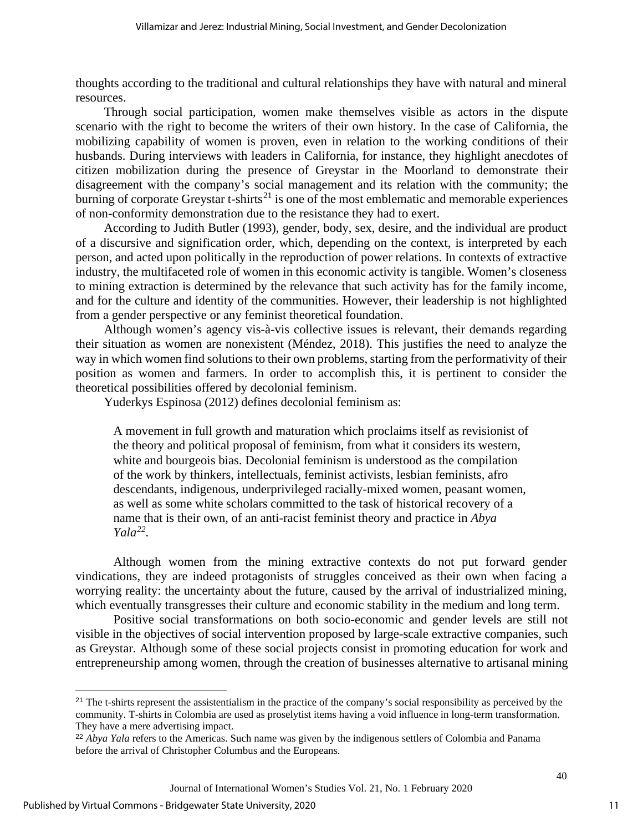thoughts according to the traditional and cultural relationships they have with natural and mineral resources.

Through social participation, women make themselves visible as actors in the dispute scenario with the right to become the writers of their own history. In the case of California, the mobilizing capability of women is proven, even in relation to the working conditions of their husbands. During interviews with leaders in California, for instance, they highlight anecdotes of citizen mobilization during the presence of Greystar in the Moorland to demonstrate their disagreement with the company's social management and its relation with the community; the burning of corporate Greystar  $t$ -shirts<sup>[21](#page-11-0)</sup> is one of the most emblematic and memorable experiences of non-conformity demonstration due to the resistance they had to exert.

According to Judith Butler (1993), gender, body, sex, desire, and the individual are product of a discursive and signification order, which, depending on the context, is interpreted by each person, and acted upon politically in the reproduction of power relations. In contexts of extractive industry, the multifaceted role of women in this economic activity is tangible. Women's closeness to mining extraction is determined by the relevance that such activity has for the family income, and for the culture and identity of the communities. However, their leadership is not highlighted from a gender perspective or any feminist theoretical foundation.

Although women's agency vis-à-vis collective issues is relevant, their demands regarding their situation as women are nonexistent (Méndez, 2018). This justifies the need to analyze the way in which women find solutions to their own problems, starting from the performativity of their position as women and farmers. In order to accomplish this, it is pertinent to consider the theoretical possibilities offered by decolonial feminism.

Yuderkys Espinosa (2012) defines decolonial feminism as:

A movement in full growth and maturation which proclaims itself as revisionist of the theory and political proposal of feminism, from what it considers its western, white and bourgeois bias. Decolonial feminism is understood as the compilation of the work by thinkers, intellectuals, feminist activists, lesbian feminists, afro descendants, indigenous, underprivileged racially-mixed women, peasant women, as well as some white scholars committed to the task of historical recovery of a name that is their own, of an anti-racist feminist theory and practice in *Abya Yala[22](#page-11-1)*.

Although women from the mining extractive contexts do not put forward gender vindications, they are indeed protagonists of struggles conceived as their own when facing a worrying reality: the uncertainty about the future, caused by the arrival of industrialized mining, which eventually transgresses their culture and economic stability in the medium and long term.

Positive social transformations on both socio-economic and gender levels are still not visible in the objectives of social intervention proposed by large-scale extractive companies, such as Greystar. Although some of these social projects consist in promoting education for work and entrepreneurship among women, through the creation of businesses alternative to artisanal mining

<span id="page-11-0"></span><sup>&</sup>lt;sup>21</sup> The t-shirts represent the assistentialism in the practice of the company's social responsibility as perceived by the community. T-shirts in Colombia are used as proselytist items having a void influence in long-term transformation. They have a mere advertising impact.

<span id="page-11-1"></span><sup>&</sup>lt;sup>22</sup> *Abya Yala* refers to the Americas. Such name was given by the indigenous settlers of Colombia and Panama before the arrival of Christopher Columbus and the Europeans.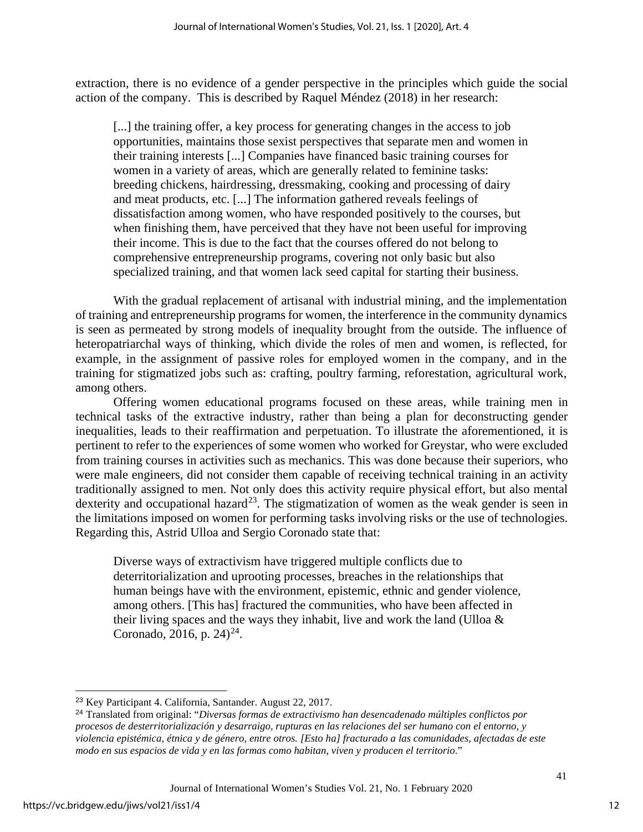extraction, there is no evidence of a gender perspective in the principles which guide the social action of the company. This is described by Raquel Méndez (2018) in her research:

[...] the training offer, a key process for generating changes in the access to job opportunities, maintains those sexist perspectives that separate men and women in their training interests [...] Companies have financed basic training courses for women in a variety of areas, which are generally related to feminine tasks: breeding chickens, hairdressing, dressmaking, cooking and processing of dairy and meat products, etc. [...] The information gathered reveals feelings of dissatisfaction among women, who have responded positively to the courses, but when finishing them, have perceived that they have not been useful for improving their income. This is due to the fact that the courses offered do not belong to comprehensive entrepreneurship programs, covering not only basic but also specialized training, and that women lack seed capital for starting their business.

With the gradual replacement of artisanal with industrial mining, and the implementation of training and entrepreneurship programs for women, the interference in the community dynamics is seen as permeated by strong models of inequality brought from the outside. The influence of heteropatriarchal ways of thinking, which divide the roles of men and women, is reflected, for example, in the assignment of passive roles for employed women in the company, and in the training for stigmatized jobs such as: crafting, poultry farming, reforestation, agricultural work, among others.

Offering women educational programs focused on these areas, while training men in technical tasks of the extractive industry, rather than being a plan for deconstructing gender inequalities, leads to their reaffirmation and perpetuation. To illustrate the aforementioned, it is pertinent to refer to the experiences of some women who worked for Greystar, who were excluded from training courses in activities such as mechanics. This was done because their superiors, who were male engineers, did not consider them capable of receiving technical training in an activity traditionally assigned to men. Not only does this activity require physical effort, but also mental dexterity and occupational hazard<sup>23</sup>. The stigmatization of women as the weak gender is seen in the limitations imposed on women for performing tasks involving risks or the use of technologies. Regarding this, Astrid Ulloa and Sergio Coronado state that:

Diverse ways of extractivism have triggered multiple conflicts due to deterritorialization and uprooting processes, breaches in the relationships that human beings have with the environment, epistemic, ethnic and gender violence, among others. [This has] fractured the communities, who have been affected in their living spaces and the ways they inhabit, live and work the land (Ulloa  $\&$ Coronado, 2016, p.  $24)^{24}$  $24)^{24}$ .

<span id="page-12-0"></span><sup>23</sup> Key Participant 4. California, Santander. August 22, 2017.

<span id="page-12-1"></span><sup>24</sup> Translated from original: "*Diversas formas de extractivismo han desencadenado múltiples conflictos por procesos de desterritorialización y desarraigo, rupturas en las relaciones del ser humano con el entorno, y violencia epistémica, étnica y de género, entre otros. [Esto ha] fracturado a las comunidades, afectadas de este modo en sus espacios de vida y en las formas como habitan, viven y producen el territorio*."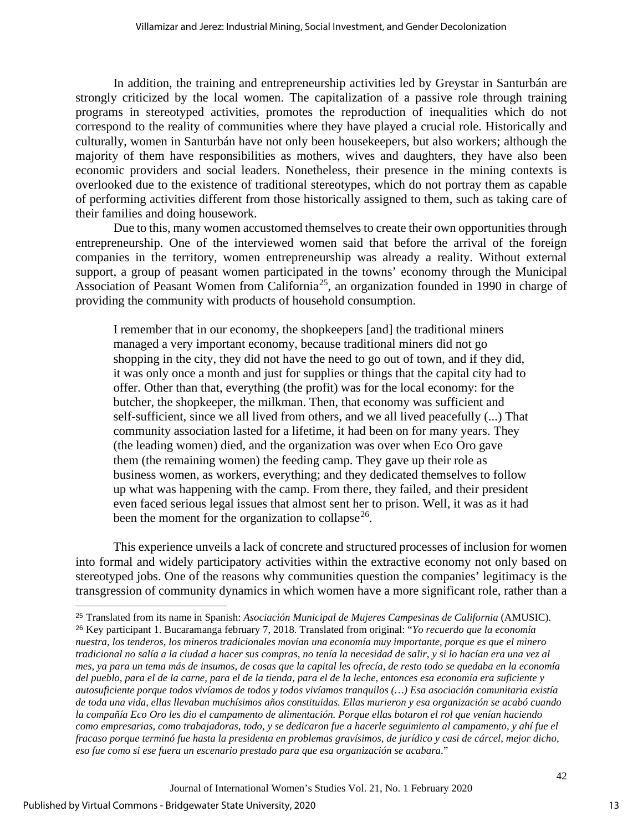In addition, the training and entrepreneurship activities led by Greystar in Santurbán are strongly criticized by the local women. The capitalization of a passive role through training programs in stereotyped activities, promotes the reproduction of inequalities which do not correspond to the reality of communities where they have played a crucial role. Historically and culturally, women in Santurbán have not only been housekeepers, but also workers; although the majority of them have responsibilities as mothers, wives and daughters, they have also been economic providers and social leaders. Nonetheless, their presence in the mining contexts is overlooked due to the existence of traditional stereotypes, which do not portray them as capable of performing activities different from those historically assigned to them, such as taking care of their families and doing housework.

Due to this, many women accustomed themselves to create their own opportunities through entrepreneurship. One of the interviewed women said that before the arrival of the foreign companies in the territory, women entrepreneurship was already a reality. Without external support, a group of peasant women participated in the towns' economy through the Municipal Association of Peasant Women from California<sup>[25](#page-13-0)</sup>, an organization founded in 1990 in charge of providing the community with products of household consumption.

I remember that in our economy, the shopkeepers [and] the traditional miners managed a very important economy, because traditional miners did not go shopping in the city, they did not have the need to go out of town, and if they did, it was only once a month and just for supplies or things that the capital city had to offer. Other than that, everything (the profit) was for the local economy: for the butcher, the shopkeeper, the milkman. Then, that economy was sufficient and self-sufficient, since we all lived from others, and we all lived peacefully (...) That community association lasted for a lifetime, it had been on for many years. They (the leading women) died, and the organization was over when Eco Oro gave them (the remaining women) the feeding camp. They gave up their role as business women, as workers, everything; and they dedicated themselves to follow up what was happening with the camp. From there, they failed, and their president even faced serious legal issues that almost sent her to prison. Well, it was as it had been the moment for the organization to collapse<sup>26</sup>.

This experience unveils a lack of concrete and structured processes of inclusion for women into formal and widely participatory activities within the extractive economy not only based on stereotyped jobs. One of the reasons why communities question the companies' legitimacy is the transgression of community dynamics in which women have a more significant role, rather than a

13

<span id="page-13-1"></span><span id="page-13-0"></span><sup>25</sup> Translated from its name in Spanish: *Asociación Municipal de Mujeres Campesinas de California* (AMUSIC). <sup>26</sup> Key participant 1. Bucaramanga february 7, 2018. Translated from original: "*Yo recuerdo que la economía nuestra, los tenderos, los mineros tradicionales movían una economía muy importante, porque es que el minero tradicional no salía a la ciudad a hacer sus compras, no tenía la necesidad de salir, y si lo hacían era una vez al mes, ya para un tema más de insumos, de cosas que la capital les ofrecía, de resto todo se quedaba en la economía del pueblo, para el de la carne, para el de la tienda, para el de la leche, entonces esa economía era suficiente y autosuficiente porque todos vivíamos de todos y todos vivíamos tranquilos (…) Esa asociación comunitaria existía de toda una vida, ellas llevaban muchísimos años constituidas. Ellas murieron y esa organización se acabó cuando la compañía Eco Oro les dio el campamento de alimentación. Porque ellas botaron el rol que venían haciendo como empresarias, como trabajadoras, todo, y se dedicaron fue a hacerle seguimiento al campamento, y ahí fue el fracaso porque terminó fue hasta la presidenta en problemas gravísimos, de jurídico y casi de cárcel, mejor dicho, eso fue como si ese fuera un escenario prestado para que esa organización se acabara*."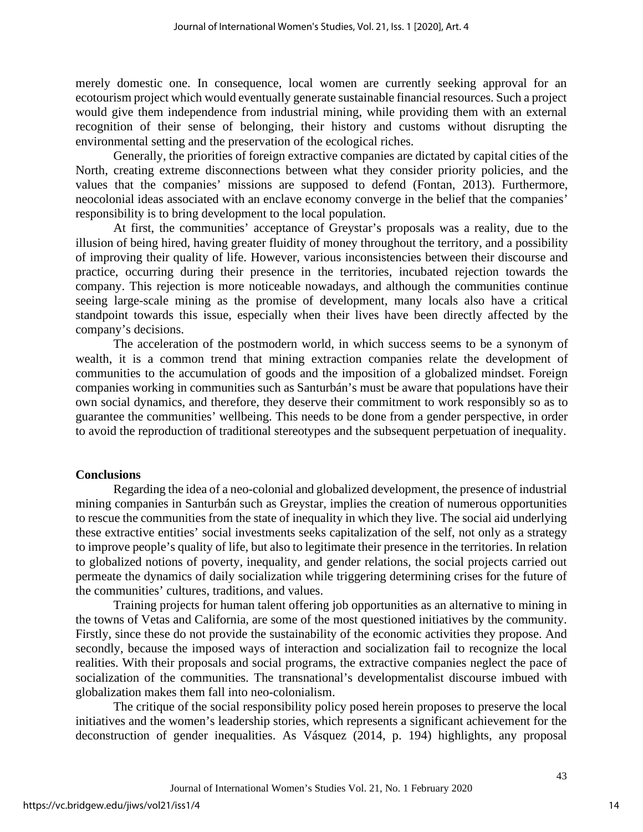merely domestic one. In consequence, local women are currently seeking approval for an ecotourism project which would eventually generate sustainable financial resources. Such a project would give them independence from industrial mining, while providing them with an external recognition of their sense of belonging, their history and customs without disrupting the environmental setting and the preservation of the ecological riches.

Generally, the priorities of foreign extractive companies are dictated by capital cities of the North, creating extreme disconnections between what they consider priority policies, and the values that the companies' missions are supposed to defend (Fontan, 2013). Furthermore, neocolonial ideas associated with an enclave economy converge in the belief that the companies' responsibility is to bring development to the local population.

At first, the communities' acceptance of Greystar's proposals was a reality, due to the illusion of being hired, having greater fluidity of money throughout the territory, and a possibility of improving their quality of life. However, various inconsistencies between their discourse and practice, occurring during their presence in the territories, incubated rejection towards the company. This rejection is more noticeable nowadays, and although the communities continue seeing large-scale mining as the promise of development, many locals also have a critical standpoint towards this issue, especially when their lives have been directly affected by the company's decisions.

The acceleration of the postmodern world, in which success seems to be a synonym of wealth, it is a common trend that mining extraction companies relate the development of communities to the accumulation of goods and the imposition of a globalized mindset. Foreign companies working in communities such as Santurbán's must be aware that populations have their own social dynamics, and therefore, they deserve their commitment to work responsibly so as to guarantee the communities' wellbeing. This needs to be done from a gender perspective, in order to avoid the reproduction of traditional stereotypes and the subsequent perpetuation of inequality.

#### **Conclusions**

Regarding the idea of a neo-colonial and globalized development, the presence of industrial mining companies in Santurbán such as Greystar, implies the creation of numerous opportunities to rescue the communities from the state of inequality in which they live. The social aid underlying these extractive entities' social investments seeks capitalization of the self, not only as a strategy to improve people's quality of life, but also to legitimate their presence in the territories. In relation to globalized notions of poverty, inequality, and gender relations, the social projects carried out permeate the dynamics of daily socialization while triggering determining crises for the future of the communities' cultures, traditions, and values.

Training projects for human talent offering job opportunities as an alternative to mining in the towns of Vetas and California, are some of the most questioned initiatives by the community. Firstly, since these do not provide the sustainability of the economic activities they propose. And secondly, because the imposed ways of interaction and socialization fail to recognize the local realities. With their proposals and social programs, the extractive companies neglect the pace of socialization of the communities. The transnational's developmentalist discourse imbued with globalization makes them fall into neo-colonialism.

The critique of the social responsibility policy posed herein proposes to preserve the local initiatives and the women's leadership stories, which represents a significant achievement for the deconstruction of gender inequalities. As Vásquez (2014, p. 194) highlights, any proposal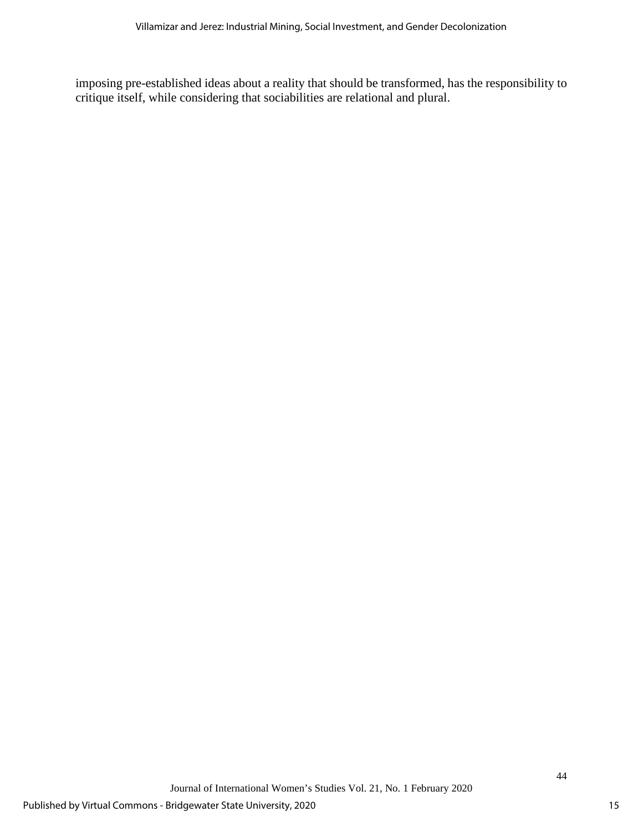imposing pre-established ideas about a reality that should be transformed, has the responsibility to critique itself, while considering that sociabilities are relational and plural.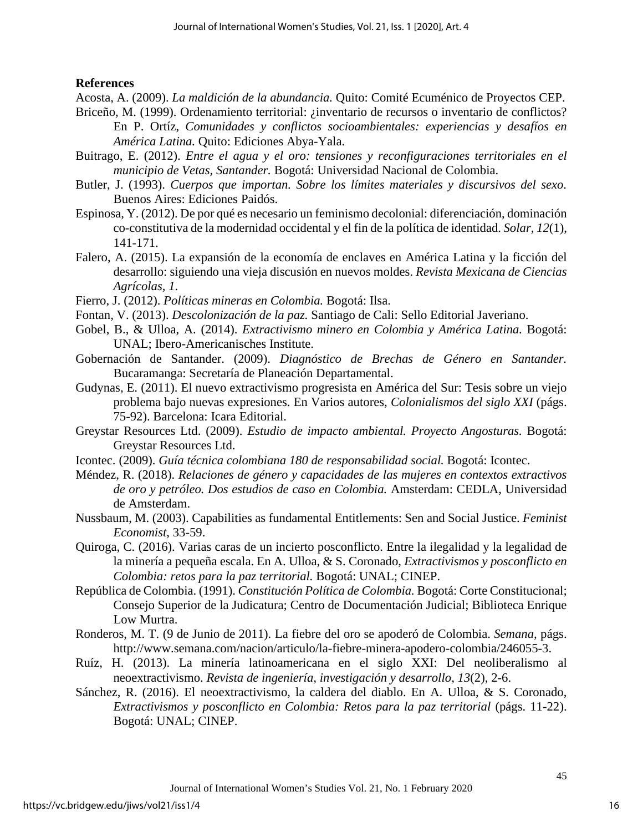## **References**

Acosta, A. (2009). *La maldición de la abundancia.* Quito: Comité Ecuménico de Proyectos CEP.

- Briceño, M. (1999). Ordenamiento territorial: ¿inventario de recursos o inventario de conflictos? En P. Ortíz, *Comunidades y conflictos socioambientales: experiencias y desafíos en América Latina.* Quito: Ediciones Abya-Yala.
- Buitrago, E. (2012). *Entre el agua y el oro: tensiones y reconfiguraciones territoriales en el municipio de Vetas, Santander.* Bogotá: Universidad Nacional de Colombia.
- Butler, J. (1993). *Cuerpos que importan. Sobre los límites materiales y discursivos del sexo.*  Buenos Aires: Ediciones Paidós.
- Espinosa, Y. (2012). De por qué es necesario un feminismo decolonial: diferenciación, dominación co-constitutiva de la modernidad occidental y el fin de la política de identidad. *Solar, 12*(1), 141-171.
- Falero, A. (2015). La expansión de la economía de enclaves en América Latina y la ficción del desarrollo: siguiendo una vieja discusión en nuevos moldes. *Revista Mexicana de Ciencias Agrícolas, 1*.
- Fierro, J. (2012). *Políticas mineras en Colombia.* Bogotá: Ilsa.
- Fontan, V. (2013). *Descolonización de la paz.* Santiago de Cali: Sello Editorial Javeriano.
- Gobel, B., & Ulloa, A. (2014). *Extractivismo minero en Colombia y América Latina.* Bogotá: UNAL; Ibero-Americanisches Institute.
- Gobernación de Santander. (2009). *Diagnóstico de Brechas de Género en Santander.* Bucaramanga: Secretaría de Planeación Departamental.
- Gudynas, E. (2011). El nuevo extractivismo progresista en América del Sur: Tesis sobre un viejo problema bajo nuevas expresiones. En Varios autores, *Colonialismos del siglo XXI* (págs. 75-92). Barcelona: Icara Editorial.
- Greystar Resources Ltd. (2009). *Estudio de impacto ambiental. Proyecto Angosturas.* Bogotá: Greystar Resources Ltd.
- Icontec. (2009). *Guía técnica colombiana 180 de responsabilidad social.* Bogotá: Icontec.
- Méndez, R. (2018). *Relaciones de género y capacidades de las mujeres en contextos extractivos de oro y petróleo. Dos estudios de caso en Colombia.* Amsterdam: CEDLA, Universidad de Amsterdam.
- Nussbaum, M. (2003). Capabilities as fundamental Entitlements: Sen and Social Justice. *Feminist Economist*, 33-59.
- Quiroga, C. (2016). Varias caras de un incierto posconflicto. Entre la ilegalidad y la legalidad de la minería a pequeña escala. En A. Ulloa, & S. Coronado, *Extractivismos y posconflicto en Colombia: retos para la paz territorial.* Bogotá: UNAL; CINEP.
- República de Colombia. (1991). *Constitución Política de Colombia.* Bogotá: Corte Constitucional; Consejo Superior de la Judicatura; Centro de Documentación Judicial; Biblioteca Enrique Low Murtra.
- Ronderos, M. T. (9 de Junio de 2011). La fiebre del oro se apoderó de Colombia. *Semana*, págs. http://www.semana.com/nacion/articulo/la-fiebre-minera-apodero-colombia/246055-3.
- Ruíz, H. (2013). La minería latinoamericana en el siglo XXI: Del neoliberalismo al neoextractivismo. *Revista de ingeniería, investigación y desarrollo, 13*(2), 2-6.
- Sánchez, R. (2016). El neoextractivismo, la caldera del diablo. En A. Ulloa, & S. Coronado, *Extractivismos y posconflicto en Colombia: Retos para la paz territorial* (págs. 11-22). Bogotá: UNAL; CINEP.